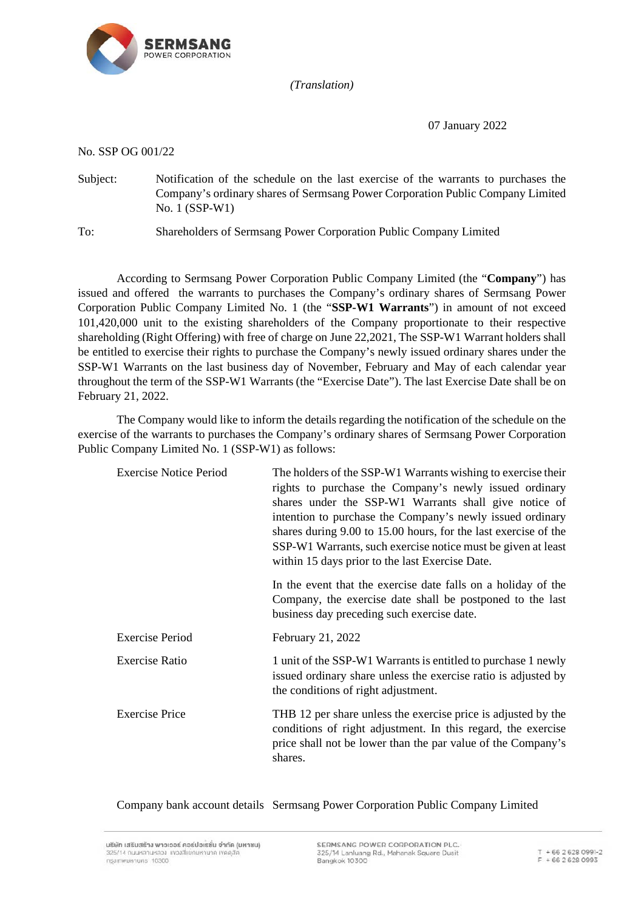

*(Translation)*

07 January 2022

No. SSP OG 001/22

Subject: Notification of the schedule on the last exercise of the warrants to purchases the Company's ordinary shares of Sermsang Power Corporation Public Company Limited No. 1 (SSP-W1)

To: Shareholders of Sermsang Power Corporation Public Company Limited

According to Sermsang Power Corporation Public Company Limited (the "**Company**") has issued and offered the warrants to purchases the Company's ordinary shares of Sermsang Power Corporation Public Company Limited No. 1 (the "**SSP-W1 Warrants**") in amount of not exceed 101,420,000 unit to the existing shareholders of the Company proportionate to their respective shareholding (Right Offering) with free of charge on June 22,2021, The SSP-W1 Warrant holders shall be entitled to exercise their rights to purchase the Company's newly issued ordinary shares under the SSP-W1 Warrants on the last business day of November, February and May of each calendar year throughout the term of the SSP-W1 Warrants (the "Exercise Date"). The last Exercise Date shall be on February 21, 2022.

The Company would like to inform the details regarding the notification of the schedule on the exercise of the warrants to purchases the Company's ordinary shares of Sermsang Power Corporation Public Company Limited No. 1 (SSP-W1) as follows:

| <b>Exercise Notice Period</b> | The holders of the SSP-W1 Warrants wishing to exercise their<br>rights to purchase the Company's newly issued ordinary<br>shares under the SSP-W1 Warrants shall give notice of<br>intention to purchase the Company's newly issued ordinary<br>shares during 9.00 to 15.00 hours, for the last exercise of the<br>SSP-W1 Warrants, such exercise notice must be given at least<br>within 15 days prior to the last Exercise Date. |
|-------------------------------|------------------------------------------------------------------------------------------------------------------------------------------------------------------------------------------------------------------------------------------------------------------------------------------------------------------------------------------------------------------------------------------------------------------------------------|
|                               | In the event that the exercise date falls on a holiday of the<br>Company, the exercise date shall be postponed to the last<br>business day preceding such exercise date.                                                                                                                                                                                                                                                           |
| <b>Exercise Period</b>        | February 21, 2022                                                                                                                                                                                                                                                                                                                                                                                                                  |
| <b>Exercise Ratio</b>         | 1 unit of the SSP-W1 Warrants is entitled to purchase 1 newly<br>issued ordinary share unless the exercise ratio is adjusted by<br>the conditions of right adjustment.                                                                                                                                                                                                                                                             |
| <b>Exercise Price</b>         | THB 12 per share unless the exercise price is adjusted by the<br>conditions of right adjustment. In this regard, the exercise<br>price shall not be lower than the par value of the Company's<br>shares.                                                                                                                                                                                                                           |

Company bank account details Sermsang Power Corporation Public Company Limited